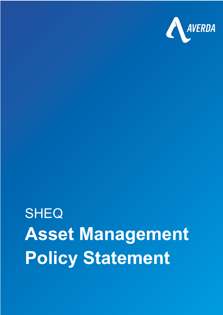

## **Policy Statement SHEQ Asset Management**